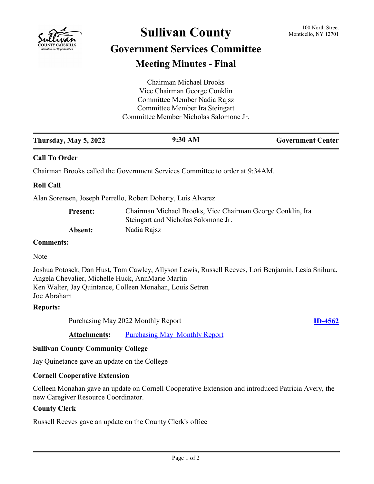

# **Sullivan County** 100 North Street 100 North Street

## **Government Services Committee Meeting Minutes - Final**

| Chairman Michael Brooks                |  |
|----------------------------------------|--|
| Vice Chairman George Conklin           |  |
| Committee Member Nadia Rajsz           |  |
| Committee Member Ira Steingart         |  |
| Committee Member Nicholas Salomone Jr. |  |
|                                        |  |

| <b>Government Center</b> |
|--------------------------|
|                          |

## **Call To Order**

Chairman Brooks called the Government Services Committee to order at 9:34AM.

## **Roll Call**

Alan Sorensen, Joseph Perrello, Robert Doherty, Luis Alvarez

| <b>Present:</b> | Chairman Michael Brooks, Vice Chairman George Conklin, Ira |
|-----------------|------------------------------------------------------------|
|                 | Steingart and Nicholas Salomone Jr.                        |
| Absent:         | Nadia Rajsz                                                |

#### **Comments:**

Note

Joshua Potosek, Dan Hust, Tom Cawley, Allyson Lewis, Russell Reeves, Lori Benjamin, Lesia Snihura, Angela Chevalier, Michelle Huck, AnnMarie Martin Ken Walter, Jay Quintance, Colleen Monahan, Louis Setren Joe Abraham

#### **Reports:**

Purchasing May 2022 Monthly Report **[ID-4562](http://sullivancountyny.legistar.com/gateway.aspx?m=l&id=/matter.aspx?key=1588)** 

Attachments: [Purchasing May Monthly Report](http://sullivancountyny.legistar.com/gateway.aspx?M=F&ID=a13c3e1b-c21e-4059-b356-6f5f592eae65.doc)

## **Sullivan County Community College**

Jay Quinetance gave an update on the College

## **Cornell Cooperative Extension**

Colleen Monahan gave an update on Cornell Cooperative Extension and introduced Patricia Avery, the new Caregiver Resource Coordinator.

## **County Clerk**

Russell Reeves gave an update on the County Clerk's office